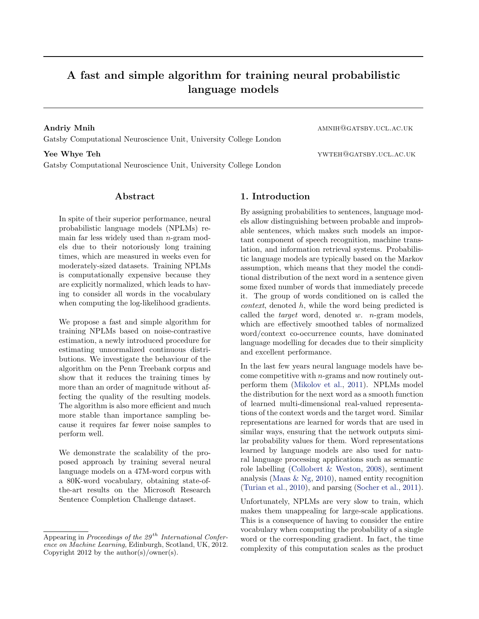# A fast and simple algorithm for training neural probabilistic language models

Andriy Mnih amnus amnus amnus amnus amnus amnus amnus amnus amnus amnus amnus amnus amnus amnus amnus amnus a Gatsby Computational Neuroscience Unit, University College London

**The Whye Teh state of the vertice of the vertice of the vertice of the vertice of the vertice of the vertice of the vertice of the vertice of the vertice of the vertice of the vertice of the vertice of the vertice of the** 

Gatsby Computational Neuroscience Unit, University College London

## Abstract

In spite of their superior performance, neural probabilistic language models (NPLMs) remain far less widely used than  $n$ -gram models due to their notoriously long training times, which are measured in weeks even for moderately-sized datasets. Training NPLMs is computationally expensive because they are explicitly normalized, which leads to having to consider all words in the vocabulary when computing the log-likelihood gradients.

We propose a fast and simple algorithm for training NPLMs based on noise-contrastive estimation, a newly introduced procedure for estimating unnormalized continuous distributions. We investigate the behaviour of the algorithm on the Penn Treebank corpus and show that it reduces the training times by more than an order of magnitude without affecting the quality of the resulting models. The algorithm is also more efficient and much more stable than importance sampling because it requires far fewer noise samples to perform well.

We demonstrate the scalability of the proposed approach by training several neural language models on a 47M-word corpus with a 80K-word vocabulary, obtaining state-ofthe-art results on the Microsoft Research Sentence Completion Challenge dataset.

# 1. Introduction

By assigning probabilities to sentences, language models allow distinguishing between probable and improbable sentences, which makes such models an important component of speech recognition, machine translation, and information retrieval systems. Probabilistic language models are typically based on the Markov assumption, which means that they model the conditional distribution of the next word in a sentence given some fixed number of words that immediately precede it. The group of words conditioned on is called the context, denoted h, while the word being predicted is called the *target* word, denoted w. *n*-gram models, which are effectively smoothed tables of normalized word/context co-occurrence counts, have dominated language modelling for decades due to their simplicity and excellent performance.

In the last few years neural language models have become competitive with n-grams and now routinely outperform them [\(Mikolov et al.,](#page-7-0) [2011\)](#page-7-0). NPLMs model the distribution for the next word as a smooth function of learned multi-dimensional real-valued representations of the context words and the target word. Similar representations are learned for words that are used in similar ways, ensuring that the network outputs similar probability values for them. Word representations learned by language models are also used for natural language processing applications such as semantic role labelling [\(Collobert & Weston,](#page-7-0) [2008\)](#page-7-0), sentiment analysis [\(Maas & Ng,](#page-7-0) [2010\)](#page-7-0), named entity recognition [\(Turian et al.,](#page-7-0) [2010\)](#page-7-0), and parsing [\(Socher et al.,](#page-7-0) [2011\)](#page-7-0).

Unfortunately, NPLMs are very slow to train, which makes them unappealing for large-scale applications. This is a consequence of having to consider the entire vocabulary when computing the probability of a single word or the corresponding gradient. In fact, the time complexity of this computation scales as the product

Appearing in Proceedings of the  $29<sup>th</sup> International Confer$ ence on Machine Learning, Edinburgh, Scotland, UK, 2012. Copyright 2012 by the author(s)/owner(s).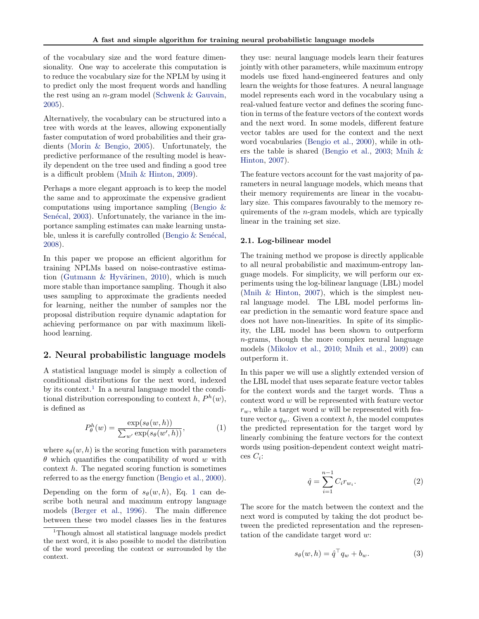<span id="page-1-0"></span>of the vocabulary size and the word feature dimensionality. One way to accelerate this computation is to reduce the vocabulary size for the NPLM by using it to predict only the most frequent words and handling the rest using an n-gram model [\(Schwenk & Gauvain,](#page-7-0) [2005\)](#page-7-0).

Alternatively, the vocabulary can be structured into a tree with words at the leaves, allowing exponentially faster computation of word probabilities and their gradients [\(Morin & Bengio,](#page-7-0) [2005\)](#page-7-0). Unfortunately, the predictive performance of the resulting model is heavily dependent on the tree used and finding a good tree is a difficult problem [\(Mnih & Hinton,](#page-7-0) [2009\)](#page-7-0).

Perhaps a more elegant approach is to keep the model the same and to approximate the expensive gradient computations using importance sampling [\(Bengio &](#page-6-0) Senécal, [2003\)](#page-6-0). Unfortunately, the variance in the importance sampling estimates can make learning unstable, unless it is carefully controlled (Bengio  $&$  Senécal, [2008\)](#page-7-0).

In this paper we propose an efficient algorithm for training NPLMs based on noise-contrastive estima-tion (Gutmann & Hyvärinen, [2010\)](#page-7-0), which is much more stable than importance sampling. Though it also uses sampling to approximate the gradients needed for learning, neither the number of samples nor the proposal distribution require dynamic adaptation for achieving performance on par with maximum likelihood learning.

## 2. Neural probabilistic language models

A statistical language model is simply a collection of conditional distributions for the next word, indexed by its context.<sup>1</sup> In a neural language model the conditional distribution corresponding to context  $h, P^h(w)$ , is defined as

$$
P_{\theta}^{h}(w) = \frac{\exp(s_{\theta}(w, h))}{\sum_{w'} \exp(s_{\theta}(w', h))},
$$
\n(1)

where  $s_{\theta}(w, h)$  is the scoring function with parameters  $\theta$  which quantifies the compatibility of word w with context  $h$ . The negated scoring function is sometimes referred to as the energy function [\(Bengio et al.,](#page-7-0) [2000\)](#page-7-0).

Depending on the form of  $s_{\theta}(w, h)$ , Eq. 1 can describe both neural and maximum entropy language models [\(Berger et al.,](#page-7-0) [1996\)](#page-7-0). The main difference between these two model classes lies in the features

they use: neural language models learn their features jointly with other parameters, while maximum entropy models use fixed hand-engineered features and only learn the weights for those features. A neural language model represents each word in the vocabulary using a real-valued feature vector and defines the scoring function in terms of the feature vectors of the context words and the next word. In some models, different feature vector tables are used for the context and the next word vocabularies [\(Bengio et al.,](#page-7-0) [2000\)](#page-7-0), while in others the table is shared [\(Bengio et al.,](#page-7-0) [2003;](#page-7-0) [Mnih &](#page-7-0) [Hinton,](#page-7-0) [2007\)](#page-7-0).

The feature vectors account for the vast majority of parameters in neural language models, which means that their memory requirements are linear in the vocabulary size. This compares favourably to the memory requirements of the n-gram models, which are typically linear in the training set size.

### 2.1. Log-bilinear model

The training method we propose is directly applicable to all neural probabilistic and maximum-entropy language models. For simplicity, we will perform our experiments using the log-bilinear language (LBL) model [\(Mnih & Hinton,](#page-7-0) [2007\)](#page-7-0), which is the simplest neural language model. The LBL model performs linear prediction in the semantic word feature space and does not have non-linearities. In spite of its simplicity, the LBL model has been shown to outperform n-grams, though the more complex neural language models [\(Mikolov et al.,](#page-7-0) [2010;](#page-7-0) [Mnih et al.,](#page-7-0) [2009\)](#page-7-0) can outperform it.

In this paper we will use a slightly extended version of the LBL model that uses separate feature vector tables for the context words and the target words. Thus a  $context$  word  $w$  will be represented with feature vector  $r_w$ , while a target word w will be represented with feature vector  $q_w$ . Given a context h, the model computes the predicted representation for the target word by linearly combining the feature vectors for the context words using position-dependent context weight matri- $\cos C_i$ :

$$
\hat{q} = \sum_{i=1}^{n-1} C_i r_{w_i}.
$$
\n(2)

The score for the match between the context and the next word is computed by taking the dot product between the predicted representation and the representation of the candidate target word w:

$$
s_{\theta}(w, h) = \hat{q}^{\top} q_w + b_w.
$$
 (3)

<sup>&</sup>lt;sup>1</sup>Though almost all statistical language models predict the next word, it is also possible to model the distribution of the word preceding the context or surrounded by the context.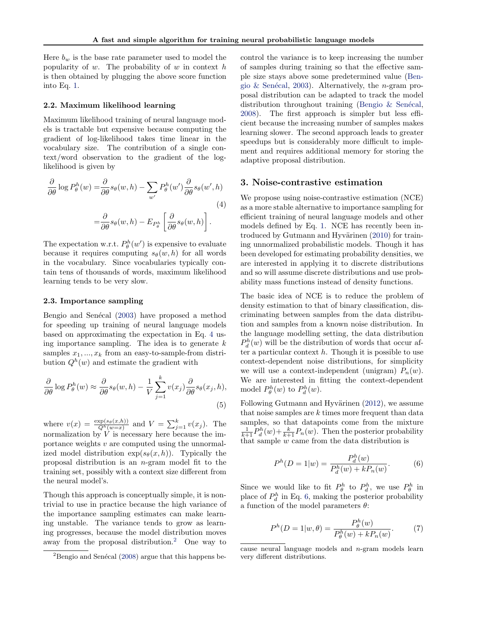Here  $b_w$  is the base rate parameter used to model the popularity of  $w$ . The probability of  $w$  in context  $h$ is then obtained by plugging the above score function into Eq. [1.](#page-1-0)

#### 2.2. Maximum likelihood learning

Maximum likelihood training of neural language models is tractable but expensive because computing the gradient of log-likelihood takes time linear in the vocabulary size. The contribution of a single context/word observation to the gradient of the loglikelihood is given by

$$
\frac{\partial}{\partial \theta} \log P_{\theta}^{h}(w) = \frac{\partial}{\partial \theta} s_{\theta}(w, h) - \sum_{w'} P_{\theta}^{h}(w') \frac{\partial}{\partial \theta} s_{\theta}(w', h)
$$
\n
$$
= \frac{\partial}{\partial \theta} s_{\theta}(w, h) - E_{P_{\theta}^{h}} \left[ \frac{\partial}{\partial \theta} s_{\theta}(w, h) \right].
$$
\n(4)

The expectation w.r.t.  $P_{\theta}^{h}(w')$  is expensive to evaluate because it requires computing  $s_{\theta}(w, h)$  for all words in the vocabulary. Since vocabularies typically contain tens of thousands of words, maximum likelihood learning tends to be very slow.

#### 2.3. Importance sampling

Bengio and Senécal [\(2003\)](#page-6-0) have proposed a method for speeding up training of neural language models based on approximating the expectation in Eq. 4 using importance sampling. The idea is to generate  $k$ samples  $x_1, ..., x_k$  from an easy-to-sample-from distribution  $Q^h(w)$  and estimate the gradient with

$$
\frac{\partial}{\partial \theta} \log P_{\theta}^{h}(w) \approx \frac{\partial}{\partial \theta} s_{\theta}(w, h) - \frac{1}{V} \sum_{j=1}^{k} v(x_{j}) \frac{\partial}{\partial \theta} s_{\theta}(x_{j}, h),
$$
\n(5)

where  $v(x) = \frac{\exp(s_{\theta}(x, h))}{Q^h(w=x)}$  and  $V = \sum_{j=1}^k v(x_j)$ . The normalization by  $V$  is necessary here because the importance weights  $v$  are computed using the unnormalized model distribution  $exp(s_{\theta}(x, h))$ . Typically the proposal distribution is an n-gram model fit to the training set, possibly with a context size different from the neural model's.

Though this approach is conceptually simple, it is nontrivial to use in practice because the high variance of the importance sampling estimates can make learning unstable. The variance tends to grow as learning progresses, because the model distribution moves away from the proposal distribution.<sup>2</sup> One way to control the variance is to keep increasing the number of samples during training so that the effective sample size stays above some predetermined value [\(Ben-](#page-6-0)gio & Senécal, [2003\)](#page-6-0). Alternatively, the *n*-gram proposal distribution can be adapted to track the model distribution throughout training (Bengio  $&$  Senécal, [2008\)](#page-7-0). The first approach is simpler but less efficient because the increasing number of samples makes learning slower. The second approach leads to greater speedups but is considerably more difficult to implement and requires additional memory for storing the adaptive proposal distribution.

## 3. Noise-contrastive estimation

We propose using noise-contrastive estimation (NCE) as a more stable alternative to importance sampling for efficient training of neural language models and other models defined by Eq. [1.](#page-1-0) NCE has recently been in-troduced by Gutmann and Hyvärinen [\(2010\)](#page-7-0) for training unnormalized probabilistic models. Though it has been developed for estimating probability densities, we are interested in applying it to discrete distributions and so will assume discrete distributions and use probability mass functions instead of density functions.

The basic idea of NCE is to reduce the problem of density estimation to that of binary classification, discriminating between samples from the data distribution and samples from a known noise distribution. In the language modelling setting, the data distribution  $P_d^h(w)$  will be the distribution of words that occur after a particular context  $h$ . Though it is possible to use context-dependent noise distributions, for simplicity we will use a context-independent (unigram)  $P_n(w)$ . We are interested in fitting the context-dependent model  $P_{\theta}^{h}(w)$  to  $P_{d}^{h}(w)$ .

Following Gutmann and Hyvärinen  $(2012)$ , we assume that noise samples are  $k$  times more frequent than data samples, so that datapoints come from the mixture  $\frac{1}{k+1}P_d^h(w) + \frac{k}{k+1}P_n(w)$ . Then the posterior probability that sample  $w$  came from the data distribution is

$$
P^{h}(D = 1|w) = \frac{P_{d}^{h}(w)}{P_{d}^{h}(w) + kP_{n}(w)}.
$$
 (6)

Since we would like to fit  $P_{\theta}^{h}$  to  $P_{d}^{h}$ , we use  $P_{\theta}^{h}$  in place of  $P_d^h$  in Eq. 6, making the posterior probability a function of the model parameters  $\theta$ :

$$
P^{h}(D = 1|w, \theta) = \frac{P_{\theta}^{h}(w)}{P_{\theta}^{h}(w) + k P_{n}(w)}.
$$
 (7)

 ${}^{2}$ Bengio and Senécal [\(2008\)](#page-7-0) argue that this happens be-

cause neural language models and n-gram models learn very different distributions.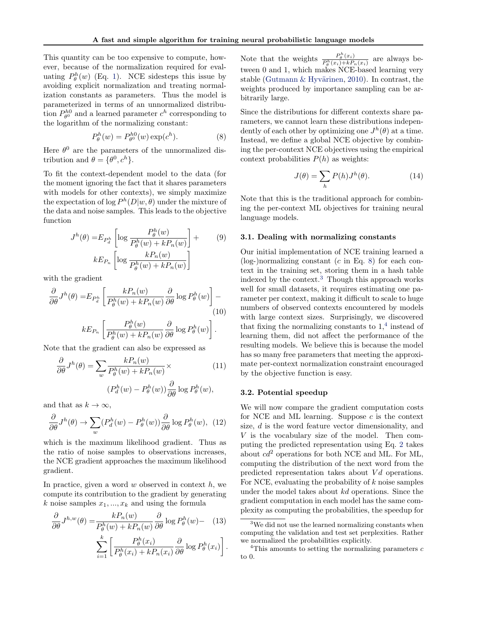<span id="page-3-0"></span>This quantity can be too expensive to compute, however, because of the normalization required for evaluating  $P_{\theta}^{h}(w)$  (Eq. [1\)](#page-1-0). NCE sidesteps this issue by avoiding explicit normalization and treating normalization constants as parameters. Thus the model is parameterized in terms of an unnormalized distribution  $P_{\theta^0}^{h0}$  and a learned parameter  $c^h$  corresponding to the logarithm of the normalizing constant:

$$
P_{\theta}^{h}(w) = P_{\theta^{0}}^{h0}(w) \exp(c^{h}).
$$
 (8)

Here  $\theta^0$  are the parameters of the unnormalized distribution and  $\theta = {\theta^0, c^h}$ .

To fit the context-dependent model to the data (for the moment ignoring the fact that it shares parameters with models for other contexts), we simply maximize the expectation of  $\log P^h(D|w, \theta)$  under the mixture of the data and noise samples. This leads to the objective function

$$
J^{h}(\theta) = E_{P_a^h} \left[ \log \frac{P_{\theta}^h(w)}{P_{\theta}^h(w) + k P_n(w)} \right] +
$$
  
\n
$$
k E_{P_n} \left[ \log \frac{k P_n(w)}{P_{\theta}^h(w) + k P_n(w)} \right]
$$
\n(9)

with the gradient

$$
\frac{\partial}{\partial \theta} J^h(\theta) = E_{P_d^h} \left[ \frac{k P_n(w)}{P_\theta^h(w) + k P_n(w)} \frac{\partial}{\partial \theta} \log P_\theta^h(w) \right] -
$$
\n
$$
(10)
$$
\n
$$
k E_{P_n} \left[ \frac{P_\theta^h(w)}{P_\theta^h(w) + k P_n(w)} \frac{\partial}{\partial \theta} \log P_\theta^h(w) \right].
$$

Note that the gradient can also be expressed as

$$
\frac{\partial}{\partial \theta} J^h(\theta) = \sum_{w} \frac{k P_n(w)}{P_\theta^h(w) + k P_n(w)} \times \qquad (11)
$$

$$
(P_d^h(w) - P_\theta^h(w)) \frac{\partial}{\partial \theta} \log P_\theta^h(w),
$$

and that as  $k \to \infty$ ,

$$
\frac{\partial}{\partial \theta} J^h(\theta) \to \sum_w (P_d^h(w) - P_\theta^h(w)) \frac{\partial}{\partial \theta} \log P_\theta^h(w), \tag{12}
$$

which is the maximum likelihood gradient. Thus as the ratio of noise samples to observations increases, the NCE gradient approaches the maximum likelihood gradient.

In practice, given a word  $w$  observed in context  $h$ , we compute its contribution to the gradient by generating k noise samples  $x_1, ..., x_k$  and using the formula

$$
\frac{\partial}{\partial \theta} J^{h,w}(\theta) = \frac{k P_n(w)}{P_\theta^h(w) + k P_n(w)} \frac{\partial}{\partial \theta} \log P_\theta^h(w) - (13) \n\sum_{i=1}^k \left[ \frac{P_\theta^h(x_i)}{P_\theta^h(x_i) + k P_n(x_i)} \frac{\partial}{\partial \theta} \log P_\theta^h(x_i) \right].
$$

Note that the weights  $\frac{P_{\theta}^{h}(x_i)}{P_{h}(x_i)+P_{h}(x_i)}$  $\frac{P_{\theta}(x_i)}{P_{\theta}^h(x_i)+kP_n(x_i)}$  are always between 0 and 1, which makes NCE-based learning very stable (Gutmann & Hyvärinen, [2010\)](#page-7-0). In contrast, the weights produced by importance sampling can be arbitrarily large.

Since the distributions for different contexts share parameters, we cannot learn these distributions independently of each other by optimizing one  $J^h(\theta)$  at a time. Instead, we define a global NCE objective by combining the per-context NCE objectives using the empirical context probabilities  $P(h)$  as weights:

$$
J(\theta) = \sum_{h} P(h)J^{h}(\theta).
$$
 (14)

Note that this is the traditional approach for combining the per-context ML objectives for training neural language models.

#### 3.1. Dealing with normalizing constants

Our initial implementation of NCE training learned a  $(log-)normalizing constant (c in Eq. 8) for each con$ text in the training set, storing them in a hash table indexed by the context.<sup>3</sup> Though this approach works well for small datasets, it requires estimating one parameter per context, making it difficult to scale to huge numbers of observed contexts encountered by models with large context sizes. Surprisingly, we discovered that fixing the normalizing constants to  $1<sup>4</sup>$  instead of learning them, did not affect the performance of the resulting models. We believe this is because the model has so many free parameters that meeting the approximate per-context normalization constraint encouraged by the objective function is easy.

#### 3.2. Potential speedup

We will now compare the gradient computation costs for NCE and ML learning. Suppose  $c$  is the context size, d is the word feature vector dimensionality, and V is the vocabulary size of the model. Then computing the predicted representation using Eq. [2](#page-1-0) takes about  $cd^2$  operations for both NCE and ML. For ML, computing the distribution of the next word from the predicted representation takes about  $Vd$  operations. For NCE, evaluating the probability of  $k$  noise samples under the model takes about kd operations. Since the gradient computation in each model has the same complexity as computing the probabilities, the speedup for

<sup>&</sup>lt;sup>3</sup>We did not use the learned normalizing constants when computing the validation and test set perplexities. Rather we normalized the probabilities explicitly.

<sup>&</sup>lt;sup>4</sup>This amounts to setting the normalizing parameters  $c$ to 0.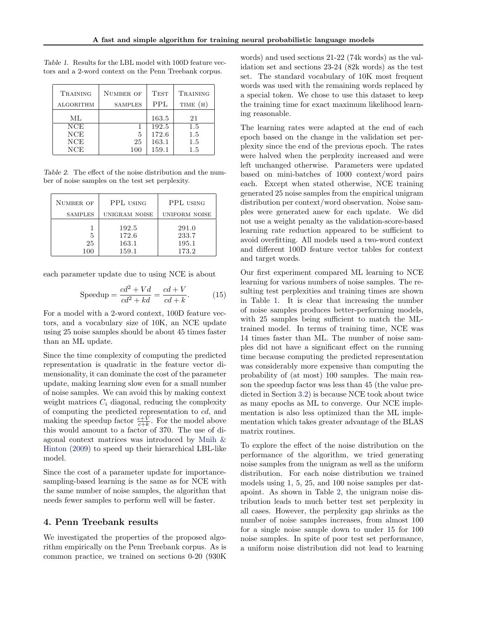| <b>TRAINING</b>  | NUMBER OF      | <b>TEST</b> | TRAINING |  |
|------------------|----------------|-------------|----------|--|
| <b>ALGORITHM</b> | <b>SAMPLES</b> | PPL         | TIME (H) |  |
| ML               |                | 163.5       | 21       |  |
| <b>NCE</b>       |                | 192.5       | 1.5      |  |
| <b>NCE</b>       | 5              | 172.6       | 1.5      |  |
| NCE              | 25             | 163.1       | 1.5      |  |
| NCE              | 100            | 159.1       | 1.5      |  |

<span id="page-4-0"></span>Table 1. Results for the LBL model with 100D feature vectors and a 2-word context on the Penn Treebank corpus.

Table 2. The effect of the noise distribution and the number of noise samples on the test set perplexity.

| NUMBER OF      | PPL USING                        | PPL USING                        |  |
|----------------|----------------------------------|----------------------------------|--|
| <b>SAMPLES</b> | UNIGRAM NOISE                    | <b>UNIFORM NOISE</b>             |  |
| 5<br>25<br>100 | 192.5<br>172.6<br>163.1<br>159.1 | 291.0<br>233.7<br>195.1<br>173.2 |  |

each parameter update due to using NCE is about

$$
Speedup = \frac{cd^2 + Vd}{cd^2 + kd} = \frac{cd + V}{cd + k}.
$$
 (15)

For a model with a 2-word context, 100D feature vectors, and a vocabulary size of 10K, an NCE update using 25 noise samples should be about 45 times faster than an ML update.

Since the time complexity of computing the predicted representation is quadratic in the feature vector dimensionality, it can dominate the cost of the parameter update, making learning slow even for a small number of noise samples. We can avoid this by making context weight matrices  $C_i$  diagonal, reducing the complexity of computing the predicted representation to cd, and making the speedup factor  $\frac{c+V}{c+k}$ . For the model above this would amount to a factor of 370. The use of diagonal context matrices was introduced by [Mnih &](#page-7-0) [Hinton](#page-7-0) [\(2009\)](#page-7-0) to speed up their hierarchical LBL-like model.

Since the cost of a parameter update for importancesampling-based learning is the same as for NCE with the same number of noise samples, the algorithm that needs fewer samples to perform well will be faster.

## 4. Penn Treebank results

We investigated the properties of the proposed algorithm empirically on the Penn Treebank corpus. As is common practice, we trained on sections 0-20 (930K

words) and used sections 21-22 (74k words) as the validation set and sections 23-24 (82k words) as the test set. The standard vocabulary of 10K most frequent words was used with the remaining words replaced by a special token. We chose to use this dataset to keep the training time for exact maximum likelihood learning reasonable.

The learning rates were adapted at the end of each epoch based on the change in the validation set perplexity since the end of the previous epoch. The rates were halved when the perplexity increased and were left unchanged otherwise. Parameters were updated based on mini-batches of 1000 context/word pairs each. Except when stated otherwise, NCE training generated 25 noise samples from the empirical unigram distribution per context/word observation. Noise samples were generated anew for each update. We did not use a weight penalty as the validation-score-based learning rate reduction appeared to be sufficient to avoid overfitting. All models used a two-word context and different 100D feature vector tables for context and target words.

Our first experiment compared ML learning to NCE learning for various numbers of noise samples. The resulting test perplexities and training times are shown in Table 1. It is clear that increasing the number of noise samples produces better-performing models, with 25 samples being sufficient to match the MLtrained model. In terms of training time, NCE was 14 times faster than ML. The number of noise samples did not have a significant effect on the running time because computing the predicted representation was considerably more expensive than computing the probability of (at most) 100 samples. The main reason the speedup factor was less than 45 (the value predicted in Section [3.2\)](#page-3-0) is because NCE took about twice as many epochs as ML to converge. Our NCE implementation is also less optimized than the ML implementation which takes greater advantage of the BLAS matrix routines.

To explore the effect of the noise distribution on the performance of the algorithm, we tried generating noise samples from the unigram as well as the uniform distribution. For each noise distribution we trained models using 1, 5, 25, and 100 noise samples per datapoint. As shown in Table 2, the unigram noise distribution leads to much better test set perplexity in all cases. However, the perplexity gap shrinks as the number of noise samples increases, from almost 100 for a single noise sample down to under 15 for 100 noise samples. In spite of poor test set performance, a uniform noise distribution did not lead to learning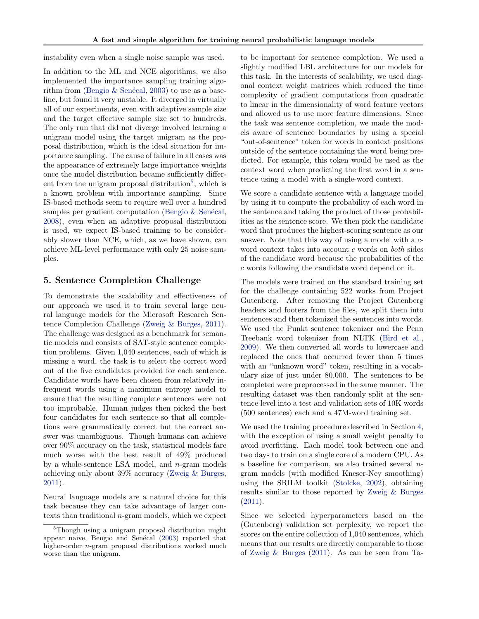instability even when a single noise sample was used.

In addition to the ML and NCE algorithms, we also implemented the importance sampling training algo-rithm from (Bengio & Senécal, [2003\)](#page-6-0) to use as a baseline, but found it very unstable. It diverged in virtually all of our experiments, even with adaptive sample size and the target effective sample size set to hundreds. The only run that did not diverge involved learning a unigram model using the target unigram as the proposal distribution, which is the ideal situation for importance sampling. The cause of failure in all cases was the appearance of extremely large importance weights once the model distribution became sufficiently different from the unigram proposal distribution<sup>5</sup>, which is a known problem with importance sampling. Since IS-based methods seem to require well over a hundred samples per gradient computation (Bengio  $&$  Senécal, [2008\)](#page-7-0), even when an adaptive proposal distribution is used, we expect IS-based training to be considerably slower than NCE, which, as we have shown, can achieve ML-level performance with only 25 noise samples.

#### 5. Sentence Completion Challenge

To demonstrate the scalability and effectiveness of our approach we used it to train several large neural language models for the Microsoft Research Sentence Completion Challenge [\(Zweig & Burges,](#page-7-0) [2011\)](#page-7-0). The challenge was designed as a benchmark for semantic models and consists of SAT-style sentence completion problems. Given 1,040 sentences, each of which is missing a word, the task is to select the correct word out of the five candidates provided for each sentence. Candidate words have been chosen from relatively infrequent words using a maximum entropy model to ensure that the resulting complete sentences were not too improbable. Human judges then picked the best four candidates for each sentence so that all completions were grammatically correct but the correct answer was unambiguous. Though humans can achieve over 90% accuracy on the task, statistical models fare much worse with the best result of 49% produced by a whole-sentence LSA model, and n-gram models achieving only about 39% accuracy [\(Zweig & Burges,](#page-7-0) [2011\)](#page-7-0).

Neural language models are a natural choice for this task because they can take advantage of larger contexts than traditional n-gram models, which we expect

to be important for sentence completion. We used a slightly modified LBL architecture for our models for this task. In the interests of scalability, we used diagonal context weight matrices which reduced the time complexity of gradient computations from quadratic to linear in the dimensionality of word feature vectors and allowed us to use more feature dimensions. Since the task was sentence completion, we made the models aware of sentence boundaries by using a special "out-of-sentence" token for words in context positions outside of the sentence containing the word being predicted. For example, this token would be used as the context word when predicting the first word in a sentence using a model with a single-word context.

We score a candidate sentence with a language model by using it to compute the probability of each word in the sentence and taking the product of those probabilities as the sentence score. We then pick the candidate word that produces the highest-scoring sentence as our answer. Note that this way of using a model with a cword context takes into account  $c$  words on both sides of the candidate word because the probabilities of the c words following the candidate word depend on it.

The models were trained on the standard training set for the challenge containing 522 works from Project Gutenberg. After removing the Project Gutenberg headers and footers from the files, we split them into sentences and then tokenized the sentences into words. We used the Punkt sentence tokenizer and the Penn Treebank word tokenizer from NLTK [\(Bird et al.,](#page-7-0) [2009\)](#page-7-0). We then converted all words to lowercase and replaced the ones that occurred fewer than 5 times with an "unknown word" token, resulting in a vocabulary size of just under 80,000. The sentences to be completed were preprocessed in the same manner. The resulting dataset was then randomly split at the sentence level into a test and validation sets of 10K words (500 sentences) each and a 47M-word training set.

We used the training procedure described in Section [4,](#page-4-0) with the exception of using a small weight penalty to avoid overfitting. Each model took between one and two days to train on a single core of a modern CPU. As a baseline for comparison, we also trained several ngram models (with modified Kneser-Ney smoothing) using the SRILM toolkit [\(Stolcke,](#page-7-0) [2002\)](#page-7-0), obtaining results similar to those reported by [Zweig & Burges](#page-7-0) [\(2011\)](#page-7-0).

Since we selected hyperparameters based on the (Gutenberg) validation set perplexity, we report the scores on the entire collection of 1,040 sentences, which means that our results are directly comparable to those of [Zweig & Burges](#page-7-0) [\(2011\)](#page-7-0). As can be seen from Ta-

<sup>&</sup>lt;sup>5</sup>Though using a unigram proposal distribution might appear naive, Bengio and Senécal [\(2003\)](#page-6-0) reported that higher-order *n*-gram proposal distributions worked much worse than the unigram.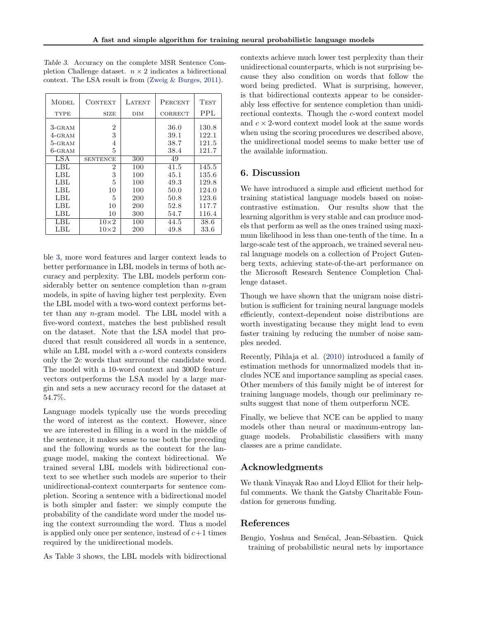| <b>MODEL</b>            | CONTEXT         | LATENT | PERCENT      | <b>TEST</b>    |
|-------------------------|-----------------|--------|--------------|----------------|
| <b>TYPE</b>             | <b>SIZE</b>     | DIM    | CORRECT      | PPL            |
| $3 -$ GRAM<br>$4$ -GRAM | 2<br>3          |        | 36.0<br>39.1 | 130.8<br>122.1 |
| 5-GRAM                  | 4               |        | 38.7         | 121.5          |
| $6 - \text{GRAM}$       | 5               |        | 38.4         | 121.7          |
| LSA                     | <b>SENTENCE</b> | 300    | 49           |                |
| LBL                     | 2               | 100    | 41.5         | 145.5          |
| LBL                     | 3               | 100    | 45.1         | 135.6          |
| LBL                     | 5               | 100    | 49.3         | 129.8          |
| LBL                     | 10              | 100    | 50.0         | 124.0          |
| LBL                     | 5               | 200    | 50.8         | 123.6          |
| LBL                     | 10              | 200    | 52.8         | 117.7          |
| LBL                     | 10              | 300    | 54.7         | 116.4          |
| LBL                     | $10\times2$     | 100    | 44.5         | 38.6           |
| LBL                     | $10\times 2$    | 200    | 49.8         | 33.6           |

<span id="page-6-0"></span>Table 3. Accuracy on the complete MSR Sentence Completion Challenge dataset.  $n \times 2$  indicates a bidirectional context. The LSA result is from [\(Zweig & Burges,](#page-7-0) [2011\)](#page-7-0).

ble 3, more word features and larger context leads to better performance in LBL models in terms of both accuracy and perplexity. The LBL models perform considerably better on sentence completion than  $n$ -gram models, in spite of having higher test perplexity. Even the LBL model with a two-word context performs better than any n-gram model. The LBL model with a five-word context, matches the best published result on the dataset. Note that the LSA model that produced that result considered all words in a sentence, while an LBL model with a c-word contexts considers only the 2c words that surround the candidate word. The model with a 10-word context and 300D feature vectors outperforms the LSA model by a large margin and sets a new accuracy record for the dataset at 54.7%.

Language models typically use the words preceding the word of interest as the context. However, since we are interested in filling in a word in the middle of the sentence, it makes sense to use both the preceding and the following words as the context for the language model, making the context bidirectional. We trained several LBL models with bidirectional context to see whether such models are superior to their unidirectional-context counterparts for sentence completion. Scoring a sentence with a bidirectional model is both simpler and faster: we simply compute the probability of the candidate word under the model using the context surrounding the word. Thus a model is applied only once per sentence, instead of  $c+1$  times required by the unidirectional models.

As Table 3 shows, the LBL models with bidirectional

contexts achieve much lower test perplexity than their unidirectional counterparts, which is not surprising because they also condition on words that follow the word being predicted. What is surprising, however, is that bidirectional contexts appear to be considerably less effective for sentence completion than unidirectional contexts. Though the c-word context model and  $c \times 2$ -word context model look at the same words when using the scoring procedures we described above, the unidirectional model seems to make better use of the available information.

# 6. Discussion

We have introduced a simple and efficient method for training statistical language models based on noisecontrastive estimation. Our results show that the learning algorithm is very stable and can produce models that perform as well as the ones trained using maximum likelihood in less than one-tenth of the time. In a large-scale test of the approach, we trained several neural language models on a collection of Project Gutenberg texts, achieving state-of-the-art performance on the Microsoft Research Sentence Completion Challenge dataset.

Though we have shown that the unigram noise distribution is sufficient for training neural language models efficiently, context-dependent noise distributions are worth investigating because they might lead to even faster training by reducing the number of noise samples needed.

Recently, Pihlaja et al. [\(2010\)](#page-7-0) introduced a family of estimation methods for unnormalized models that includes NCE and importance sampling as special cases. Other members of this family might be of interest for training language models, though our preliminary results suggest that none of them outperform NCE.

Finally, we believe that NCE can be applied to many models other than neural or maximum-entropy language models. Probabilistic classifiers with many classes are a prime candidate.

# Acknowledgments

We thank Vinayak Rao and Lloyd Elliot for their helpful comments. We thank the Gatsby Charitable Foundation for generous funding.

# References

Bengio, Yoshua and Senécal, Jean-Sébastien. Quick training of probabilistic neural nets by importance